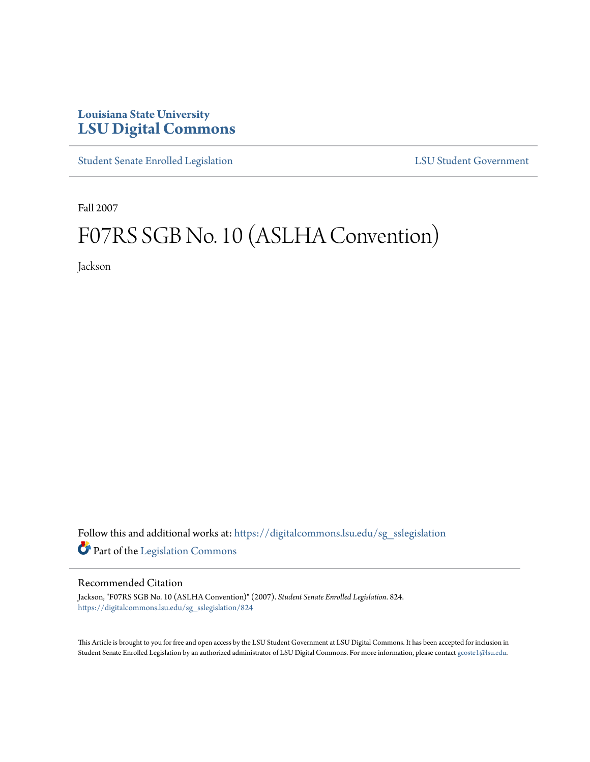## **Louisiana State University [LSU Digital Commons](https://digitalcommons.lsu.edu?utm_source=digitalcommons.lsu.edu%2Fsg_sslegislation%2F824&utm_medium=PDF&utm_campaign=PDFCoverPages)**

[Student Senate Enrolled Legislation](https://digitalcommons.lsu.edu/sg_sslegislation?utm_source=digitalcommons.lsu.edu%2Fsg_sslegislation%2F824&utm_medium=PDF&utm_campaign=PDFCoverPages) [LSU Student Government](https://digitalcommons.lsu.edu/sg?utm_source=digitalcommons.lsu.edu%2Fsg_sslegislation%2F824&utm_medium=PDF&utm_campaign=PDFCoverPages)

Fall 2007

# F07RS SGB No. 10 (ASLHA Convention)

Jackson

Follow this and additional works at: [https://digitalcommons.lsu.edu/sg\\_sslegislation](https://digitalcommons.lsu.edu/sg_sslegislation?utm_source=digitalcommons.lsu.edu%2Fsg_sslegislation%2F824&utm_medium=PDF&utm_campaign=PDFCoverPages) Part of the [Legislation Commons](http://network.bepress.com/hgg/discipline/859?utm_source=digitalcommons.lsu.edu%2Fsg_sslegislation%2F824&utm_medium=PDF&utm_campaign=PDFCoverPages)

#### Recommended Citation

Jackson, "F07RS SGB No. 10 (ASLHA Convention)" (2007). *Student Senate Enrolled Legislation*. 824. [https://digitalcommons.lsu.edu/sg\\_sslegislation/824](https://digitalcommons.lsu.edu/sg_sslegislation/824?utm_source=digitalcommons.lsu.edu%2Fsg_sslegislation%2F824&utm_medium=PDF&utm_campaign=PDFCoverPages)

This Article is brought to you for free and open access by the LSU Student Government at LSU Digital Commons. It has been accepted for inclusion in Student Senate Enrolled Legislation by an authorized administrator of LSU Digital Commons. For more information, please contact [gcoste1@lsu.edu.](mailto:gcoste1@lsu.edu)